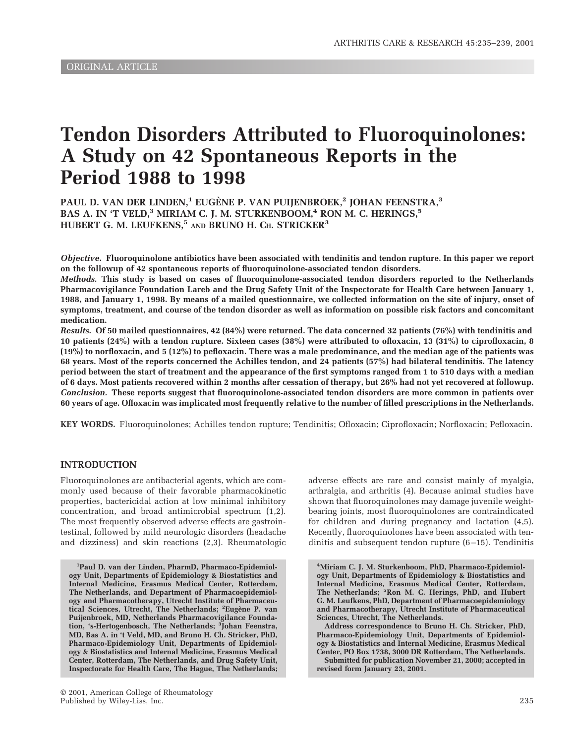# **Tendon Disorders Attributed to Fluoroquinolones: A Study on 42 Spontaneous Reports in the Period 1988 to 1998**

**PAUL D. VAN DER LINDEN,1 EUGENE P. VAN PUIJENBROEK, ` <sup>2</sup> JOHAN FEENSTRA,3** BAS A. IN 'T VELD,<sup>3</sup> MIRIAM C. J. M. STURKENBOOM,<sup>4</sup> RON M. C. HERINGS,<sup>5</sup> **HUBERT G. M. LEUFKENS,5 AND BRUNO H. CH. STRICKER3**

*Objective.* **Fluoroquinolone antibiotics have been associated with tendinitis and tendon rupture. In this paper we report on the followup of 42 spontaneous reports of fluoroquinolone-associated tendon disorders.**

*Methods.* **This study is based on cases of fluoroquinolone-associated tendon disorders reported to the Netherlands Pharmacovigilance Foundation Lareb and the Drug Safety Unit of the Inspectorate for Health Care between January 1, 1988, and January 1, 1998. By means of a mailed questionnaire, we collected information on the site of injury, onset of symptoms, treatment, and course of the tendon disorder as well as information on possible risk factors and concomitant medication.**

*Results.* **Of 50 mailed questionnaires, 42 (84%) were returned. The data concerned 32 patients (76%) with tendinitis and 10 patients (24%) with a tendon rupture. Sixteen cases (38%) were attributed to ofloxacin, 13 (31%) to ciprofloxacin, 8 (19%) to norfloxacin, and 5 (12%) to pefloxacin. There was a male predominance, and the median age of the patients was 68 years. Most of the reports concerned the Achilles tendon, and 24 patients (57%) had bilateral tendinitis. The latency period between the start of treatment and the appearance of the first symptoms ranged from 1 to 510 days with a median of 6 days. Most patients recovered within 2 months after cessation of therapy, but 26% had not yet recovered at followup.** *Conclusion.* **These reports suggest that fluoroquinolone-associated tendon disorders are more common in patients over 60 years of age. Ofloxacin was implicated most frequently relative to the number of filled prescriptions in the Netherlands.**

**KEY WORDS.** Fluoroquinolones; Achilles tendon rupture; Tendinitis; Ofloxacin; Ciprofloxacin; Norfloxacin; Pefloxacin.

## **INTRODUCTION**

Fluoroquinolones are antibacterial agents, which are commonly used because of their favorable pharmacokinetic properties, bactericidal action at low minimal inhibitory concentration, and broad antimicrobial spectrum (1,2). The most frequently observed adverse effects are gastrointestinal, followed by mild neurologic disorders (headache and dizziness) and skin reactions (2,3). Rheumatologic

**1 Paul D. van der Linden, PharmD, Pharmaco-Epidemiology Unit, Departments of Epidemiology & Biostatistics and Internal Medicine, Erasmus Medical Center, Rotterdam, The Netherlands, and Department of Pharmacoepidemiol**ogy and Pharmacotherapy, Utrecht Institute of Pharmaceu-<br>tical Sciences, Utrecht, The Netherlands; <sup>2</sup>Eugène P. van **Puijenbroek, MD, Netherlands Pharmacovigilance Foundation, 's-Hertogenbosch, The Netherlands; <sup>3</sup> Johan Feenstra, MD, Bas A. in 't Veld, MD, and Bruno H. Ch. Stricker, PhD, Pharmaco-Epidemiology Unit, Departments of Epidemiology & Biostatistics and Internal Medicine, Erasmus Medical Center, Rotterdam, The Netherlands, and Drug Safety Unit, Inspectorate for Health Care, The Hague, The Netherlands;**

© 2001, American College of Rheumatology Published by Wiley-Liss, Inc. 235

adverse effects are rare and consist mainly of myalgia, arthralgia, and arthritis (4). Because animal studies have shown that fluoroquinolones may damage juvenile weightbearing joints, most fluoroquinolones are contraindicated for children and during pregnancy and lactation (4,5). Recently, fluoroquinolones have been associated with tendinitis and subsequent tendon rupture (6–15). Tendinitis

**4 Miriam C. J. M. Sturkenboom, PhD, Pharmaco-Epidemiology Unit, Departments of Epidemiology & Biostatistics and Internal Medicine, Erasmus Medical Center, Rotterdam, The Netherlands; <sup>5</sup> Ron M. C. Herings, PhD, and Hubert G. M. Leufkens, PhD, Department of Pharmacoepidemiology and Pharmacotherapy, Utrecht Institute of Pharmaceutical Sciences, Utrecht, The Netherlands.**

**Address correspondence to Bruno H. Ch. Stricker, PhD, Pharmaco-Epidemiology Unit, Departments of Epidemiology & Biostatistics and Internal Medicine, Erasmus Medical Center, PO Box 1738, 3000 DR Rotterdam, The Netherlands.**

**Submitted for publication November 21, 2000; accepted in revised form January 23, 2001.**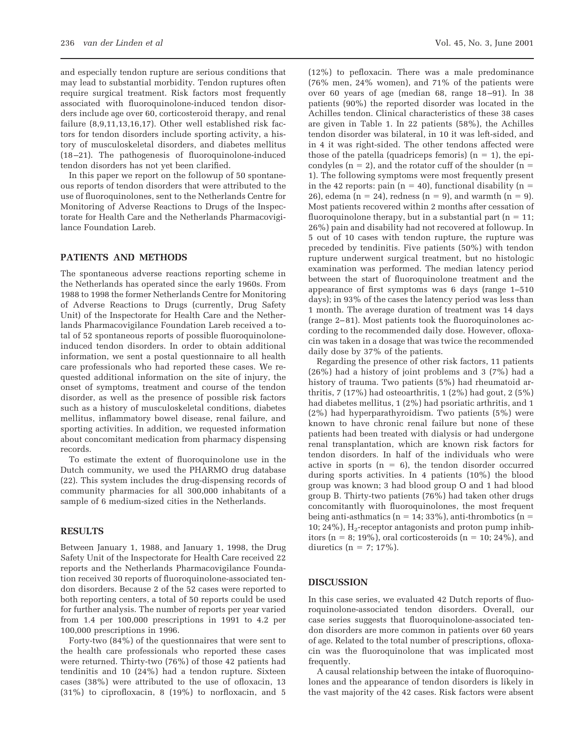and especially tendon rupture are serious conditions that may lead to substantial morbidity. Tendon ruptures often require surgical treatment. Risk factors most frequently associated with fluoroquinolone-induced tendon disorders include age over 60, corticosteroid therapy, and renal failure (8,9,11,13,16,17). Other well established risk factors for tendon disorders include sporting activity, a history of musculoskeletal disorders, and diabetes mellitus (18–21). The pathogenesis of fluoroquinolone-induced tendon disorders has not yet been clarified.

In this paper we report on the followup of 50 spontaneous reports of tendon disorders that were attributed to the use of fluoroquinolones, sent to the Netherlands Centre for Monitoring of Adverse Reactions to Drugs of the Inspectorate for Health Care and the Netherlands Pharmacovigilance Foundation Lareb.

### **PATIENTS AND METHODS**

The spontaneous adverse reactions reporting scheme in the Netherlands has operated since the early 1960s. From 1988 to 1998 the former Netherlands Centre for Monitoring of Adverse Reactions to Drugs (currently, Drug Safety Unit) of the Inspectorate for Health Care and the Netherlands Pharmacovigilance Foundation Lareb received a total of 52 spontaneous reports of possible fluoroquinoloneinduced tendon disorders. In order to obtain additional information, we sent a postal questionnaire to all health care professionals who had reported these cases. We requested additional information on the site of injury, the onset of symptoms, treatment and course of the tendon disorder, as well as the presence of possible risk factors such as a history of musculoskeletal conditions, diabetes mellitus, inflammatory bowel disease, renal failure, and sporting activities. In addition, we requested information about concomitant medication from pharmacy dispensing records.

To estimate the extent of fluoroquinolone use in the Dutch community, we used the PHARMO drug database (22). This system includes the drug-dispensing records of community pharmacies for all 300,000 inhabitants of a sample of 6 medium-sized cities in the Netherlands.

## **RESULTS**

Between January 1, 1988, and January 1, 1998, the Drug Safety Unit of the Inspectorate for Health Care received 22 reports and the Netherlands Pharmacovigilance Foundation received 30 reports of fluoroquinolone-associated tendon disorders. Because 2 of the 52 cases were reported to both reporting centers, a total of 50 reports could be used for further analysis. The number of reports per year varied from 1.4 per 100,000 prescriptions in 1991 to 4.2 per 100,000 prescriptions in 1996.

Forty-two (84%) of the questionnaires that were sent to the health care professionals who reported these cases were returned. Thirty-two (76%) of those 42 patients had tendinitis and 10 (24%) had a tendon rupture. Sixteen cases (38%) were attributed to the use of ofloxacin, 13 (31%) to ciprofloxacin, 8 (19%) to norfloxacin, and 5

(12%) to pefloxacin. There was a male predominance (76% men, 24% women), and 71% of the patients were over 60 years of age (median 68, range 18–91). In 38 patients (90%) the reported disorder was located in the Achilles tendon. Clinical characteristics of these 38 cases are given in Table 1. In 22 patients (58%), the Achilles tendon disorder was bilateral, in 10 it was left-sided, and in 4 it was right-sided. The other tendons affected were those of the patella (quadriceps femoris)  $(n = 1)$ , the epicondyles ( $n = 2$ ), and the rotator cuff of the shoulder ( $n = 5$ 1). The following symptoms were most frequently present in the 42 reports: pain ( $n = 40$ ), functional disability ( $n =$ 26), edema (n = 24), redness (n = 9), and warmth (n = 9). Most patients recovered within 2 months after cessation of fluoroquinolone therapy, but in a substantial part  $(n = 11;$ 26%) pain and disability had not recovered at followup. In 5 out of 10 cases with tendon rupture, the rupture was preceded by tendinitis. Five patients (50%) with tendon rupture underwent surgical treatment, but no histologic examination was performed. The median latency period between the start of fluoroquinolone treatment and the appearance of first symptoms was 6 days (range 1–510 days); in 93% of the cases the latency period was less than 1 month. The average duration of treatment was 14 days (range 2–81). Most patients took the fluoroquinolones according to the recommended daily dose. However, ofloxacin was taken in a dosage that was twice the recommended daily dose by 37% of the patients.

Regarding the presence of other risk factors, 11 patients (26%) had a history of joint problems and 3 (7%) had a history of trauma. Two patients (5%) had rheumatoid arthritis,  $7(17\%)$  had osteoarthritis,  $1(2\%)$  had gout,  $2(5\%)$ had diabetes mellitus, 1 (2%) had psoriatic arthritis, and 1 (2%) had hyperparathyroidism. Two patients (5%) were known to have chronic renal failure but none of these patients had been treated with dialysis or had undergone renal transplantation, which are known risk factors for tendon disorders. In half of the individuals who were active in sports  $(n = 6)$ , the tendon disorder occurred during sports activities. In 4 patients (10%) the blood group was known; 3 had blood group O and 1 had blood group B. Thirty-two patients (76%) had taken other drugs concomitantly with fluoroquinolones, the most frequent being anti-asthmatics ( $n = 14$ ; 33%), anti-thrombotics ( $n =$ 10; 24%),  $H_2$ -receptor antagonists and proton pump inhibitors ( $n = 8$ ; 19%), oral corticosteroids ( $n = 10$ ; 24%), and diuretics ( $n = 7$ ; 17%).

#### **DISCUSSION**

In this case series, we evaluated 42 Dutch reports of fluoroquinolone-associated tendon disorders. Overall, our case series suggests that fluoroquinolone-associated tendon disorders are more common in patients over 60 years of age. Related to the total number of prescriptions, ofloxacin was the fluoroquinolone that was implicated most frequently.

A causal relationship between the intake of fluoroquinolones and the appearance of tendon disorders is likely in the vast majority of the 42 cases. Risk factors were absent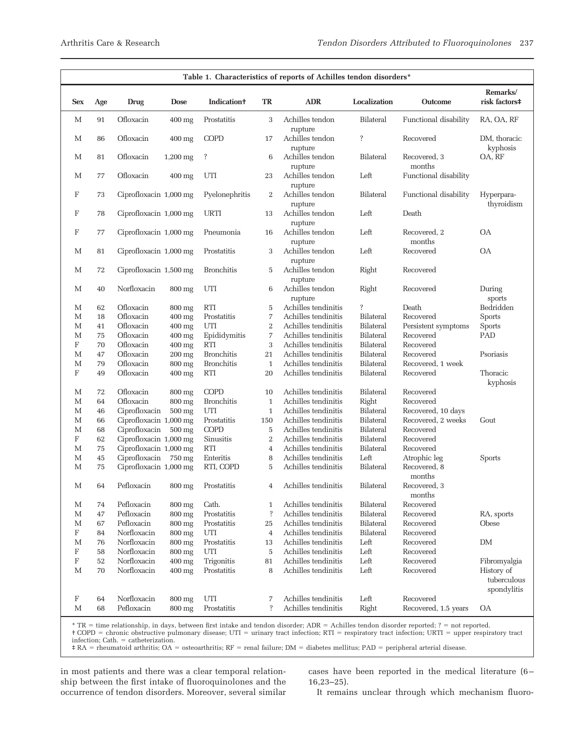| Table 1. Characteristics of reports of Achilles tendon disorders* |        |                        |                    |                                |                  |                            |                  |                        |                                          |
|-------------------------------------------------------------------|--------|------------------------|--------------------|--------------------------------|------------------|----------------------------|------------------|------------------------|------------------------------------------|
| <b>Sex</b>                                                        | Age    | Drug                   | <b>Dose</b>        | <b>Indication</b> <sup>+</sup> | TR               | <b>ADR</b>                 | Localization     | <b>Outcome</b>         | Remarks/<br>risk factors#                |
| М                                                                 | 91     | Ofloxacin              | $400$ mg           | Prostatitis                    | 3                | Achilles tendon<br>rupture | Bilateral        | Functional disability  | RA, OA, RF                               |
| M                                                                 | 86     | Ofloxacin              | $400$ mg           | <b>COPD</b>                    | 17               | Achilles tendon<br>rupture | ?                | Recovered              | DM, thoracic<br>kyphosis                 |
| M                                                                 | 81     | Ofloxacin              | $1,200$ mg         | ŗ                              | 6                | Achilles tendon<br>rupture | <b>Bilateral</b> | Recovered, 3<br>months | OA, RF                                   |
| M                                                                 | 77     | Ofloxacin              | $400$ mg           | UTI                            | 23               | Achilles tendon<br>rupture | Left             | Functional disability  |                                          |
| F                                                                 | 73     | Ciprofloxacin 1,000 mg |                    | Pyelonephritis                 | 2                | Achilles tendon<br>rupture | <b>Bilateral</b> | Functional disability  | Hyperpara-<br>thyroidism                 |
| F                                                                 | 78     | Ciprofloxacin 1,000 mg |                    | <b>URTI</b>                    | 13               | Achilles tendon<br>rupture | Left             | Death                  |                                          |
| F                                                                 | 77     | Ciprofloxacin 1,000 mg |                    | Pneumonia                      | 16               | Achilles tendon<br>rupture | Left             | Recovered, 2<br>months | <b>OA</b>                                |
| M                                                                 | 81     | Ciprofloxacin 1,000 mg |                    | Prostatitis                    | 3                | Achilles tendon<br>rupture | Left             | Recovered              | <b>OA</b>                                |
| M                                                                 | 72     | Ciprofloxacin 1,500 mg |                    | <b>Bronchitis</b>              | 5                | Achilles tendon<br>rupture | Right            | Recovered              |                                          |
| M                                                                 | 40     | Norfloxacin            | 800 mg             | UTI                            | 6                | Achilles tendon<br>rupture | Right            | Recovered              | During<br>sports                         |
| M                                                                 | 62     | Ofloxacin              | 800 mg             | <b>RTI</b>                     | $\overline{5}$   | Achilles tendinitis        | $\ddot{?}$       | Death                  | Bedridden                                |
| М                                                                 | 18     | Ofloxacin              | $400$ mg           | Prostatitis                    | $\overline{7}$   | Achilles tendinitis        | <b>Bilateral</b> | Recovered              | <b>Sports</b>                            |
| М                                                                 | 41     | Ofloxacin              | $400$ mg           | UTI                            | $\overline{2}$   | Achilles tendinitis        | <b>Bilateral</b> | Persistent symptoms    | <b>Sports</b>                            |
| М                                                                 | 75     | Ofloxacin              | $400$ mg           | Epididymitis                   | $\boldsymbol{7}$ | Achilles tendinitis        | <b>Bilateral</b> | Recovered              | PAD                                      |
| F                                                                 | 70     | Ofloxacin              | $400$ mg           | <b>RTI</b>                     | 3                | Achilles tendinitis        | <b>Bilateral</b> | Recovered              |                                          |
| М                                                                 | 47     | Ofloxacin              | $200$ mg           | <b>Bronchitis</b>              | 21               | Achilles tendinitis        | <b>Bilateral</b> | Recovered              | Psoriasis                                |
| М                                                                 | 79     | Ofloxacin              | 800 mg             | <b>Bronchitis</b>              | $\,1\,$          | Achilles tendinitis        | <b>Bilateral</b> | Recovered, 1 week      |                                          |
| F                                                                 | 49     | Ofloxacin              | $400$ mg           | <b>RTI</b>                     | 20               | Achilles tendinitis        | <b>Bilateral</b> | Recovered              | Thoracic<br>kyphosis                     |
| M                                                                 | 72     | Ofloxacin              | 800 mg             | <b>COPD</b>                    | 10               | Achilles tendinitis        | Bilateral        | Recovered              |                                          |
| М                                                                 | 64     | Ofloxacin              | 800 mg             | <b>Bronchitis</b>              | $\mathbf{1}$     | Achilles tendinitis        | Right            | Recovered              |                                          |
| М                                                                 | 46     | Ciprofloxacin          | $500$ mg           | UTI                            | $1\,$            | Achilles tendinitis        | Bilateral        | Recovered, 10 days     |                                          |
| М                                                                 | 66     | Ciprofloxacin 1,000 mg |                    | Prostatitis                    | 150              | Achilles tendinitis        | Bilateral        | Recovered, 2 weeks     | Gout                                     |
| М                                                                 | 68     | Ciprofloxacin          | $500$ mg           | <b>COPD</b>                    | $\mathbf 5$      | Achilles tendinitis        | Bilateral        | Recovered              |                                          |
| F                                                                 | 62     | Ciprofloxacin 1,000 mg |                    | Sinusitis                      | $\,2$            | Achilles tendinitis        | Bilateral        | Recovered              |                                          |
| М                                                                 | $75\,$ | Ciprofloxacin 1,000 mg |                    | <b>RTI</b>                     | $\,4$            | Achilles tendinitis        | <b>Bilateral</b> | Recovered              |                                          |
| М                                                                 | 45     | Ciprofloxacin          | 750 mg             | Enteritis                      | 8                | Achilles tendinitis        | Left             | Atrophic leg           | Sports                                   |
| M                                                                 | 75     | Ciprofloxacin 1,000 mg |                    | RTI, COPD                      | $\overline{5}$   | Achilles tendinitis        | Bilateral        | Recovered, 8<br>months |                                          |
| М                                                                 | 64     | Pefloxacin             | $800\:\mathrm{mg}$ | Prostatitis                    | $\overline{4}$   | Achilles tendinitis        | <b>Bilateral</b> | Recovered, 3<br>months |                                          |
| М                                                                 | 74     | Pefloxacin             | 800 mg             | Cath.                          | $\mathbf{1}$     | Achilles tendinitis        | <b>Bilateral</b> | Recovered              |                                          |
| M                                                                 | 47     | Pefloxacin             | 800 mg             | Prostatitis                    | $\ddot{?}$       | Achilles tendinitis        | <b>Bilateral</b> | Recovered              | RA, sports                               |
| М                                                                 | 67     | Pefloxacin             | 800 mg             | Prostatitis                    | 25               | Achilles tendinitis        | <b>Bilateral</b> | Recovered              | Obese                                    |
| F                                                                 | 84     | Norfloxacin            | 800 mg             | UTI                            | $\,4$            | Achilles tendinitis        | <b>Bilateral</b> | Recovered              |                                          |
| М                                                                 | 76     | Norfloxacin            | 800 mg             | Prostatitis                    | 13               | Achilles tendinitis        | Left             | Recovered              | DM                                       |
| F                                                                 | 58     | Norfloxacin            | 800 mg             | UTI                            | $\mathbf 5$      | Achilles tendinitis        | Left             | Recovered              |                                          |
| $\boldsymbol{\mathrm{F}}$                                         | 52     | Norfloxacin            | $400$ mg           | Trigonitis                     | 81               | Achilles tendinitis        | Left             | Recovered              | Fibromyalgia                             |
| М                                                                 | 70     | Norfloxacin            | $400$ mg           | Prostatitis                    | 8                | Achilles tendinitis        | Left             | Recovered              | History of<br>tuberculous<br>spondylitis |
| F                                                                 | 64     | Norfloxacin            | 800 mg             | UTI                            | 7                | Achilles tendinitis        | Left             | Recovered              |                                          |
| M                                                                 | 68     | Pefloxacin             | 800 mg             | Prostatitis                    | ?                | Achilles tendinitis        | Right            | Recovered, 1.5 years   | <b>OA</b>                                |
|                                                                   |        |                        |                    |                                |                  |                            |                  |                        |                                          |

 $*$  TR = time relationship, in days, between first intake and tendon disorder; ADR = Achilles tendon disorder reported; ? = not reported. † COPD = chronic obstructive pulmonary disease; UTI = urinary tract infection; RTI = respiratory tract infection; URTI = upper respiratory tract  $interior$ ;  $Cath. = catheterization$ .

 $\# RA$  = rheumatoid arthritis; OA = osteoarthritis; RF = renal failure; DM = diabetes mellitus; PAD = peripheral arterial disease.

in most patients and there was a clear temporal relationship between the first intake of fluoroquinolones and the occurrence of tendon disorders. Moreover, several similar cases have been reported in the medical literature (6– 16,23–25).

It remains unclear through which mechanism fluoro-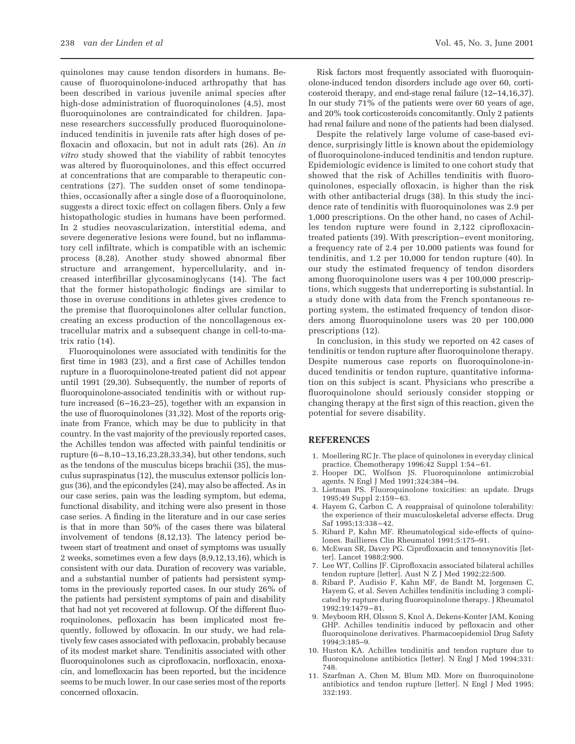quinolones may cause tendon disorders in humans. Because of fluoroquinolone-induced arthropathy that has been described in various juvenile animal species after high-dose administration of fluoroquinolones (4,5), most fluoroquinolones are contraindicated for children. Japanese researchers successfully produced fluoroquinoloneinduced tendinitis in juvenile rats after high doses of pefloxacin and ofloxacin, but not in adult rats (26). An *in vitro* study showed that the viability of rabbit tenocytes was altered by fluoroquinolones, and this effect occurred at concentrations that are comparable to therapeutic concentrations (27). The sudden onset of some tendinopathies, occasionally after a single dose of a fluoroquinolone, suggests a direct toxic effect on collagen fibers. Only a few histopathologic studies in humans have been performed. In 2 studies neovascularization, interstitial edema, and severe degenerative lesions were found, but no inflammatory cell infiltrate, which is compatible with an ischemic process (8,28). Another study showed abnormal fiber structure and arrangement, hypercellularity, and increased interfibrillar glycosaminoglycans (14). The fact that the former histopathologic findings are similar to those in overuse conditions in athletes gives credence to the premise that fluoroquinolones alter cellular function, creating an excess production of the noncollagenous extracellular matrix and a subsequent change in cell-to-matrix ratio (14).

Fluoroquinolones were associated with tendinitis for the first time in 1983 (23), and a first case of Achilles tendon rupture in a fluoroquinolone-treated patient did not appear until 1991 (29,30). Subsequently, the number of reports of fluoroquinolone-associated tendinitis with or without rupture increased (6–16,23–25), together with an expansion in the use of fluoroquinolones (31,32). Most of the reports originate from France, which may be due to publicity in that country. In the vast majority of the previously reported cases, the Achilles tendon was affected with painful tendinitis or rupture (6–8,10–13,16,23,28,33,34), but other tendons, such as the tendons of the musculus biceps brachii (35), the musculus supraspinatus (12), the musculus extensor pollicis longus (36), and the epicondyles (24), may also be affected. As in our case series, pain was the leading symptom, but edema, functional disability, and itching were also present in those case series. A finding in the literature and in our case series is that in more than 50% of the cases there was bilateral involvement of tendons (8,12,13). The latency period between start of treatment and onset of symptoms was usually 2 weeks, sometimes even a few days (8,9,12,13,16), which is consistent with our data. Duration of recovery was variable, and a substantial number of patients had persistent symptoms in the previously reported cases. In our study 26% of the patients had persistent symptoms of pain and disability that had not yet recovered at followup. Of the different fluoroquinolones, pefloxacin has been implicated most frequently, followed by ofloxacin. In our study, we had relatively few cases associated with pefloxacin, probably because of its modest market share. Tendinitis associated with other fluoroquinolones such as ciprofloxacin, norfloxacin, enoxacin, and lomefloxacin has been reported, but the incidence seems to be much lower. In our case series most of the reports concerned ofloxacin.

Risk factors most frequently associated with fluoroquinolone-induced tendon disorders include age over 60, corticosteroid therapy, and end-stage renal failure (12–14,16,37). In our study 71% of the patients were over 60 years of age, and 20% took corticosteroids concomitantly. Only 2 patients had renal failure and none of the patients had been dialysed.

Despite the relatively large volume of case-based evidence, surprisingly little is known about the epidemiology of fluoroquinolone-induced tendinitis and tendon rupture. Epidemiologic evidence is limited to one cohort study that showed that the risk of Achilles tendinitis with fluoroquinolones, especially ofloxacin, is higher than the risk with other antibacterial drugs (38). In this study the incidence rate of tendinitis with fluoroquinolones was 2.9 per 1,000 prescriptions. On the other hand, no cases of Achilles tendon rupture were found in 2,122 ciprofloxacintreated patients (39). With prescription–event monitoring, a frequency rate of 2.4 per 10,000 patients was found for tendinitis, and 1.2 per 10,000 for tendon rupture (40). In our study the estimated frequency of tendon disorders among fluoroquinolone users was 4 per 100,000 prescriptions, which suggests that underreporting is substantial. In a study done with data from the French spontaneous reporting system, the estimated frequency of tendon disorders among fluoroquinolone users was 20 per 100,000 prescriptions (12).

In conclusion, in this study we reported on 42 cases of tendinitis or tendon rupture after fluoroquinolone therapy. Despite numerous case reports on fluoroquinolone-induced tendinitis or tendon rupture, quantitative information on this subject is scant. Physicians who prescribe a fluoroquinolone should seriously consider stopping or changing therapy at the first sign of this reaction, given the potential for severe disability.

#### **REFERENCES**

- 1. Moellering RC Jr. The place of quinolones in everyday clinical practice. Chemotherapy 1996;42 Suppl 1:54–61.
- 2. Hooper DC, Wolfson JS. Fluoroquinolone antimicrobial agents. N Engl J Med 1991;324:384–94.
- 3. Lietman PS. Fluoroquinolone toxicities: an update. Drugs 1995;49 Suppl 2:159–63.
- 4. Hayem G, Carbon C. A reappraisal of quinolone tolerability: the experience of their musculoskeletal adverse effects. Drug Saf 1995;13:338–42.
- 5. Ribard P, Kahn MF. Rheumatological side-effects of quinolones. Baillieres Clin Rheumatol 1991;5:175–91.
- 6. McEwan SR, Davey PG. Ciprofloxacin and tenosynovitis [letter]. Lancet 1988;2:900.
- 7. Lee WT, Collins JF. Ciprofloxacin associated bilateral achilles tendon rupture [letter]. Aust N Z J Med 1992;22:500.
- 8. Ribard P, Audisio F, Kahn MF, de Bandt M, Jorgensen C, Hayem G, et al. Seven Achilles tendinitis including 3 complicated by rupture during fluoroquinolone therapy. J Rheumatol 1992;19:1479–81.
- 9. Meyboom RH, Olsson S, Knol A, Dekens-Konter JAM, Koning GHP. Achilles tendinitis induced by pefloxacin and other fluoroquinolone derivatives. Pharmacoepidemiol Drug Safety 1994;3:185–9.
- 10. Huston KA. Achilles tendinitis and tendon rupture due to fluoroquinolone antibiotics [letter]. N Engl J Med 1994;331: 748.
- 11. Szarfman A, Chen M, Blum MD. More on fluoroquinolone antibiotics and tendon rupture [letter]. N Engl J Med 1995; 332:193.